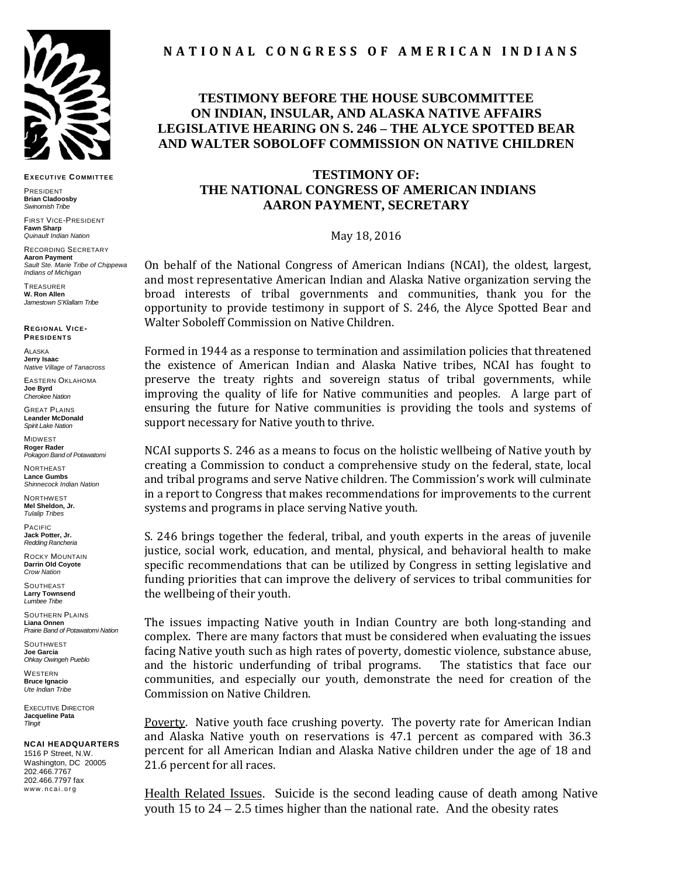

**EXECUTIVE COMMITTEE**

PRESIDENT **Brian Cladoosby** *Swinomish Tribe*

FIRST VICE-PRESIDENT **Fawn Sharp** *Quinault Indian Nation*

RECORDING SECRETARY **Aaron Payment** *Sault Ste. Marie Tribe of Chippewa Indians of Michigan*

**TREASURER W. Ron Allen** *Jamestown S'Klallam Tribe*

**REGIONAL VICE-PRESIDENTS**

ALASKA **Jerry Isaac** *Native Village of Tanacross*

EASTERN OKLAHOMA **Joe Byrd** *Cherokee Nation*

GREAT PLAINS **Leander McDonald** *Spirit Lake Nation*

MIDWEST **Roger Rader** *Pokagon Band of Potawatomi* 

NORTHEAST **Lance Gumbs** *Shinnecock Indian Nation*

NORTHWEST **Mel Sheldon, Jr.** *Tulalip Tribes*

PACIFIC **Jack Potter, Jr.** *Redding Rancheria*

ROCKY MOUNTAIN **Darrin Old Coyote** *Crow Nation*

**SOUTHEAST Larry Townsend** *Lumbee Tribe*

SOUTHERN PLAINS **Liana Onnen** *Prairie Band of Potawatomi Nation* 

**SOUTHWEST Joe Garcia** *Ohkay Owingeh Pueblo*

**WESTERN Bruce Ignacio** *Ute Indian Tribe*

EXECUTIVE DIRECTOR **Jacqueline Pata** *Tlingit*

## **NCAI HEADQUARTERS**

1516 P Street, N.W. Washington, DC 20005 202.466.7767 202.466.7797 fax www.ncai.org

## **N A T I O N A L C O N G R E S S O F A M E R I C A N I N D I A N S**

## **TESTIMONY BEFORE THE HOUSE SUBCOMMITTEE ON INDIAN, INSULAR, AND ALASKA NATIVE AFFAIRS LEGISLATIVE HEARING ON S. 246 – THE ALYCE SPOTTED BEAR AND WALTER SOBOLOFF COMMISSION ON NATIVE CHILDREN**

## **TESTIMONY OF: THE NATIONAL CONGRESS OF AMERICAN INDIANS AARON PAYMENT, SECRETARY**

May 18, 2016

On behalf of the National Congress of American Indians (NCAI), the oldest, largest, and most representative American Indian and Alaska Native organization serving the broad interests of tribal governments and communities, thank you for the opportunity to provide testimony in support of S. 246, the Alyce Spotted Bear and Walter Soboleff Commission on Native Children.

Formed in 1944 as a response to termination and assimilation policies that threatened the existence of American Indian and Alaska Native tribes, NCAI has fought to preserve the treaty rights and sovereign status of tribal governments, while improving the quality of life for Native communities and peoples. A large part of ensuring the future for Native communities is providing the tools and systems of support necessary for Native youth to thrive.

NCAI supports S. 246 as a means to focus on the holistic wellbeing of Native youth by creating a Commission to conduct a comprehensive study on the federal, state, local and tribal programs and serve Native children. The Commission's work will culminate in a report to Congress that makes recommendations for improvements to the current systems and programs in place serving Native youth.

S. 246 brings together the federal, tribal, and youth experts in the areas of juvenile justice, social work, education, and mental, physical, and behavioral health to make specific recommendations that can be utilized by Congress in setting legislative and funding priorities that can improve the delivery of services to tribal communities for the wellbeing of their youth.

The issues impacting Native youth in Indian Country are both long-standing and complex. There are many factors that must be considered when evaluating the issues facing Native youth such as high rates of poverty, domestic violence, substance abuse, and the historic underfunding of tribal programs. The statistics that face our and the historic underfunding of tribal programs. communities, and especially our youth, demonstrate the need for creation of the Commission on Native Children.

Poverty. Native youth face crushing poverty. The poverty rate for American Indian and Alaska Native youth on reservations is 47.1 percent as compared with 36.3 percent for all American Indian and Alaska Native children under the age of 18 and 21.6 percent for all races.

Health Related Issues. Suicide is the second leading cause of death among Native youth 15 to  $24 - 2.5$  times higher than the national rate. And the obesity rates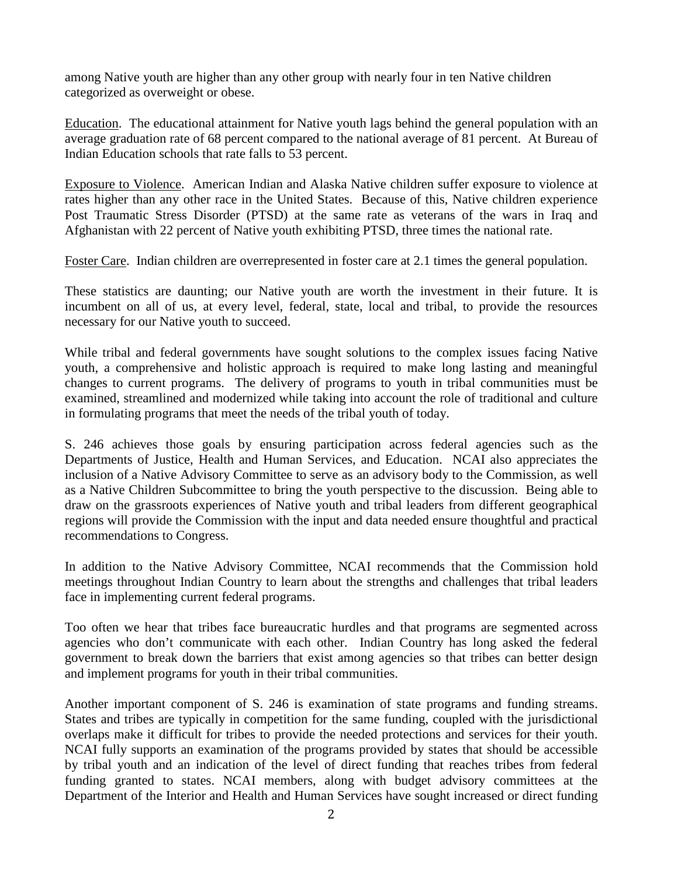among Native youth are higher than any other group with nearly four in ten Native children categorized as overweight or obese.

Education. The educational attainment for Native youth lags behind the general population with an average graduation rate of 68 percent compared to the national average of 81 percent. At Bureau of Indian Education schools that rate falls to 53 percent.

Exposure to Violence. American Indian and Alaska Native children suffer exposure to violence at rates higher than any other race in the United States. Because of this, Native children experience Post Traumatic Stress Disorder (PTSD) at the same rate as veterans of the wars in Iraq and Afghanistan with 22 percent of Native youth exhibiting PTSD, three times the national rate.

Foster Care. Indian children are overrepresented in foster care at 2.1 times the general population.

These statistics are daunting; our Native youth are worth the investment in their future. It is incumbent on all of us, at every level, federal, state, local and tribal, to provide the resources necessary for our Native youth to succeed.

While tribal and federal governments have sought solutions to the complex issues facing Native youth, a comprehensive and holistic approach is required to make long lasting and meaningful changes to current programs. The delivery of programs to youth in tribal communities must be examined, streamlined and modernized while taking into account the role of traditional and culture in formulating programs that meet the needs of the tribal youth of today.

S. 246 achieves those goals by ensuring participation across federal agencies such as the Departments of Justice, Health and Human Services, and Education. NCAI also appreciates the inclusion of a Native Advisory Committee to serve as an advisory body to the Commission, as well as a Native Children Subcommittee to bring the youth perspective to the discussion. Being able to draw on the grassroots experiences of Native youth and tribal leaders from different geographical regions will provide the Commission with the input and data needed ensure thoughtful and practical recommendations to Congress.

In addition to the Native Advisory Committee, NCAI recommends that the Commission hold meetings throughout Indian Country to learn about the strengths and challenges that tribal leaders face in implementing current federal programs.

Too often we hear that tribes face bureaucratic hurdles and that programs are segmented across agencies who don't communicate with each other. Indian Country has long asked the federal government to break down the barriers that exist among agencies so that tribes can better design and implement programs for youth in their tribal communities.

Another important component of S. 246 is examination of state programs and funding streams. States and tribes are typically in competition for the same funding, coupled with the jurisdictional overlaps make it difficult for tribes to provide the needed protections and services for their youth. NCAI fully supports an examination of the programs provided by states that should be accessible by tribal youth and an indication of the level of direct funding that reaches tribes from federal funding granted to states. NCAI members, along with budget advisory committees at the Department of the Interior and Health and Human Services have sought increased or direct funding